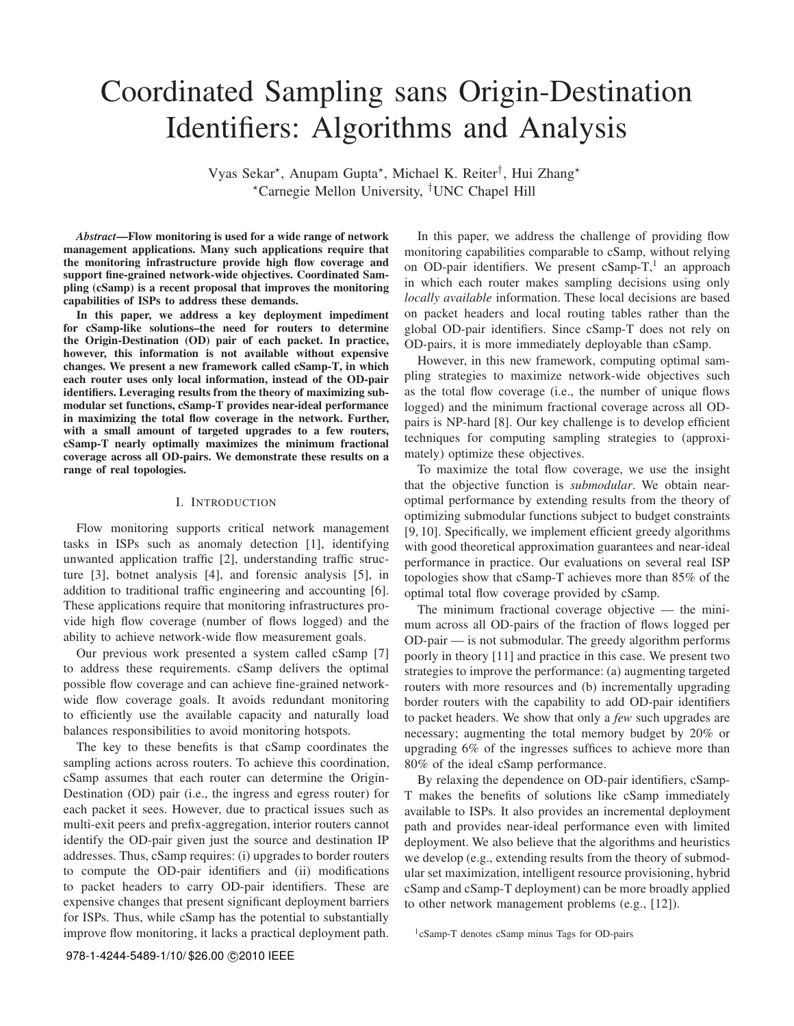# Coordinated Sampling sans Origin-Destination Identifiers: Algorithms and Analysis

Vyas Sekar\*, Anupam Gupta\*, Michael K. Reiter<sup>†</sup>, Hui Zhang\* <sup>⋆</sup>Carnegie Mellon University, †UNC Chapel Hill

*Abstract*—Flow monitoring is used for a wide range of network management applications. Many such applications require that the monitoring infrastructure provide high flow coverage and support fine-grained network-wide objectives. Coordinated Sampling (cSamp) is a recent proposal that improves the monitoring capabilities of ISPs to address these demands.

In this paper, we address a key deployment impediment for cSamp-like solutions–the need for routers to determine the Origin-Destination (OD) pair of each packet. In practice, however, this information is not available without expensive changes. We present a new framework called cSamp-T, in which each router uses only local information, instead of the OD-pair identifiers. Leveraging results from the theory of maximizing submodular set functions, cSamp-T provides near-ideal performance in maximizing the total flow coverage in the network. Further, with a small amount of targeted upgrades to a few routers, cSamp-T nearly optimally maximizes the minimum fractional coverage across all OD-pairs. We demonstrate these results on a range of real topologies.

## I. INTRODUCTION

Flow monitoring supports critical network management tasks in ISPs such as anomaly detection [1], identifying unwanted application traffic [2], understanding traffic structure [3], botnet analysis [4], and forensic analysis [5], in addition to traditional traffic engineering and accounting [6]. These applications require that monitoring infrastructures provide high flow coverage (number of flows logged) and the ability to achieve network-wide flow measurement goals.

Our previous work presented a system called cSamp [7] to address these requirements. cSamp delivers the optimal possible flow coverage and can achieve fine-grained networkwide flow coverage goals. It avoids redundant monitoring to efficiently use the available capacity and naturally load balances responsibilities to avoid monitoring hotspots.

The key to these benefits is that cSamp coordinates the sampling actions across routers. To achieve this coordination, cSamp assumes that each router can determine the Origin-Destination (OD) pair (i.e., the ingress and egress router) for each packet it sees. However, due to practical issues such as multi-exit peers and prefix-aggregation, interior routers cannot identify the OD-pair given just the source and destination IP addresses. Thus, cSamp requires: (i) upgrades to border routers to compute the OD-pair identifiers and (ii) modifications to packet headers to carry OD-pair identifiers. These are expensive changes that present significant deployment barriers for ISPs. Thus, while cSamp has the potential to substantially improve flow monitoring, it lacks a practical deployment path.

In this paper, we address the challenge of providing flow monitoring capabilities comparable to cSamp, without relying on OD-pair identifiers. We present  $cSamp-T$ ,<sup>1</sup> an approach in which each router makes sampling decisions using only *locally available* information. These local decisions are based on packet headers and local routing tables rather than the global OD-pair identifiers. Since cSamp-T does not rely on OD-pairs, it is more immediately deployable than cSamp.

However, in this new framework, computing optimal sampling strategies to maximize network-wide objectives such as the total flow coverage (i.e., the number of unique flows logged) and the minimum fractional coverage across all ODpairs is NP-hard [8]. Our key challenge is to develop efficient techniques for computing sampling strategies to (approximately) optimize these objectives.

To maximize the total flow coverage, we use the insight that the objective function is *submodular*. We obtain nearoptimal performance by extending results from the theory of optimizing submodular functions subject to budget constraints [9, 10]. Specifically, we implement efficient greedy algorithms with good theoretical approximation guarantees and near-ideal performance in practice. Our evaluations on several real ISP topologies show that cSamp-T achieves more than 85% of the optimal total flow coverage provided by cSamp.

The minimum fractional coverage objective — the minimum across all OD-pairs of the fraction of flows logged per OD-pair — is not submodular. The greedy algorithm performs poorly in theory [11] and practice in this case. We present two strategies to improve the performance: (a) augmenting targeted routers with more resources and (b) incrementally upgrading border routers with the capability to add OD-pair identifiers to packet headers. We show that only a *few* such upgrades are necessary; augmenting the total memory budget by 20% or upgrading 6% of the ingresses suffices to achieve more than 80% of the ideal cSamp performance.

By relaxing the dependence on OD-pair identifiers, cSamp-T makes the benefits of solutions like cSamp immediately available to ISPs. It also provides an incremental deployment path and provides near-ideal performance even with limited deployment. We also believe that the algorithms and heuristics we develop (e.g., extending results from the theory of submodular set maximization, intelligent resource provisioning, hybrid cSamp and cSamp-T deployment) can be more broadly applied to other network management problems (e.g., [12]).

<sup>1</sup> cSamp-T denotes cSamp minus Tags for OD-pairs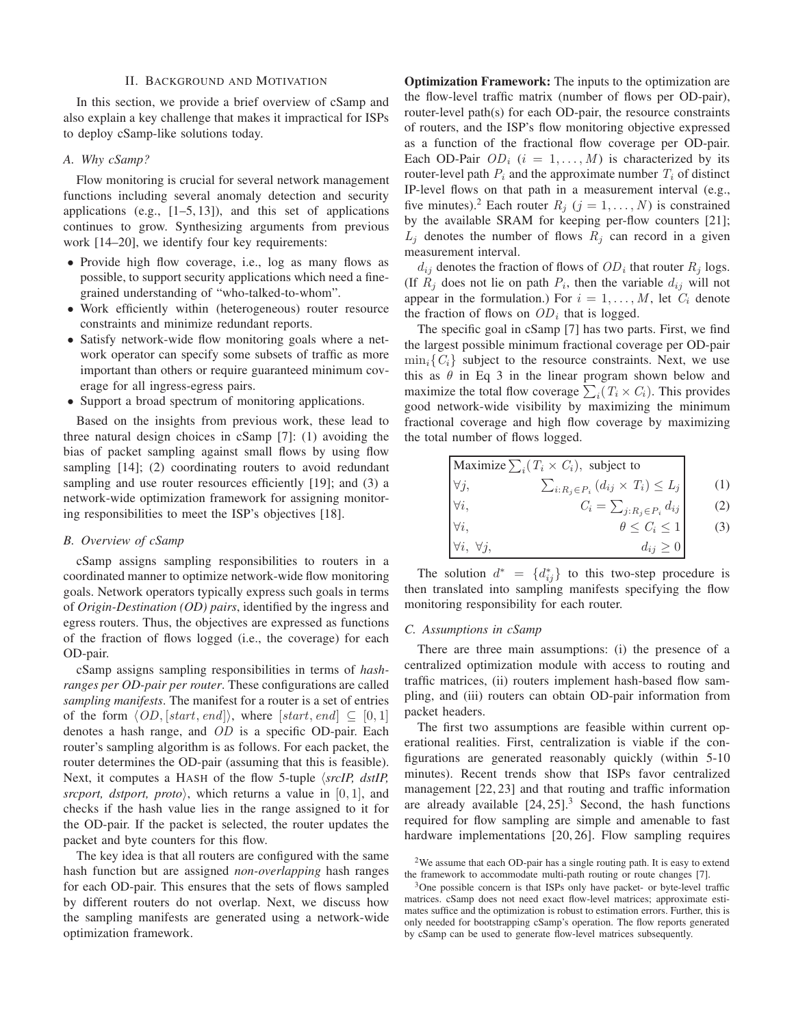#### II. BACKGROUND AND MOTIVATION

In this section, we provide a brief overview of cSamp and also explain a key challenge that makes it impractical for ISPs to deploy cSamp-like solutions today.

#### *A. Why cSamp?*

Flow monitoring is crucial for several network management functions including several anomaly detection and security applications (e.g.,  $[1-5, 13]$ ), and this set of applications continues to grow. Synthesizing arguments from previous work [14–20], we identify four key requirements:

- Provide high flow coverage, i.e., log as many flows as possible, to support security applications which need a finegrained understanding of "who-talked-to-whom".
- Work efficiently within (heterogeneous) router resource constraints and minimize redundant reports.
- Satisfy network-wide flow monitoring goals where a network operator can specify some subsets of traffic as more important than others or require guaranteed minimum coverage for all ingress-egress pairs.
- Support a broad spectrum of monitoring applications.

Based on the insights from previous work, these lead to three natural design choices in cSamp [7]: (1) avoiding the bias of packet sampling against small flows by using flow sampling [14]; (2) coordinating routers to avoid redundant sampling and use router resources efficiently [19]; and (3) a network-wide optimization framework for assigning monitoring responsibilities to meet the ISP's objectives [18].

# *B. Overview of cSamp*

cSamp assigns sampling responsibilities to routers in a coordinated manner to optimize network-wide flow monitoring goals. Network operators typically express such goals in terms of *Origin-Destination (OD) pairs*, identified by the ingress and egress routers. Thus, the objectives are expressed as functions of the fraction of flows logged (i.e., the coverage) for each OD-pair.

cSamp assigns sampling responsibilities in terms of *hashranges per OD-pair per router*. These configurations are called *sampling manifests*. The manifest for a router is a set of entries of the form  $\langle OD, [start, end]\rangle$ , where  $[start, end] \subseteq [0, 1]$ denotes a hash range, and OD is a specific OD-pair. Each router's sampling algorithm is as follows. For each packet, the router determines the OD-pair (assuming that this is feasible). Next, it computes a HASH of the flow 5-tuple *(srcIP, dstIP, srcport, dstport, proto*), which returns a value in  $[0, 1]$ , and checks if the hash value lies in the range assigned to it for the OD-pair. If the packet is selected, the router updates the packet and byte counters for this flow.

The key idea is that all routers are configured with the same hash function but are assigned *non-overlapping* hash ranges for each OD-pair. This ensures that the sets of flows sampled by different routers do not overlap. Next, we discuss how the sampling manifests are generated using a network-wide optimization framework.

Optimization Framework: The inputs to the optimization are the flow-level traffic matrix (number of flows per OD-pair), router-level path(s) for each OD-pair, the resource constraints of routers, and the ISP's flow monitoring objective expressed as a function of the fractional flow coverage per OD-pair. Each OD-Pair  $OD_i$   $(i = 1, ..., M)$  is characterized by its router-level path  $P_i$  and the approximate number  $T_i$  of distinct IP-level flows on that path in a measurement interval (e.g., five minutes).<sup>2</sup> Each router  $R_j$  ( $j = 1, ..., N$ ) is constrained by the available SRAM for keeping per-flow counters [21];  $L_i$  denotes the number of flows  $R_i$  can record in a given measurement interval.

 $d_{ij}$  denotes the fraction of flows of  $OD_i$  that router  $R_j$  logs. (If  $R_j$  does not lie on path  $P_i$ , then the variable  $d_{ij}$  will not appear in the formulation.) For  $i = 1, \ldots, M$ , let  $C_i$  denote the fraction of flows on  $OD<sub>i</sub>$  that is logged.

The specific goal in cSamp [7] has two parts. First, we find the largest possible minimum fractional coverage per OD-pair  $\min_i\{C_i\}$  subject to the resource constraints. Next, we use this as  $\theta$  in Eq 3 in the linear program shown below and maximize the total flow coverage  $\sum_{i} (T_i \times C_i)$ . This provides good network-wide visibility by maximizing the minimum fractional coverage and high flow coverage by maximizing the total number of flows logged.

|                              | Maximize $\sum_i (T_i \times C_i)$ , subject to      |     |
|------------------------------|------------------------------------------------------|-----|
|                              | $\sum_{i: R_j \in P_i} (d_{ij} \times T_i) \leq L_j$ | (1) |
| $\bigvee_{i}^{i} \forall i,$ | $C_i = \sum_{j: R_j \in P_i} d_{ij}$                 | (2) |
| $\forall i,$                 | $\theta \leq \mathit{C}_i \leq 1$                    | (3) |
| $\forall i, \forall j,$      | $d_{ij} \geq 0$                                      |     |

The solution  $d^* = \{d_{ij}^*\}$  to this two-step procedure is then translated into sampling manifests specifying the flow monitoring responsibility for each router.

#### *C. Assumptions in cSamp*

There are three main assumptions: (i) the presence of a centralized optimization module with access to routing and traffic matrices, (ii) routers implement hash-based flow sampling, and (iii) routers can obtain OD-pair information from packet headers.

The first two assumptions are feasible within current operational realities. First, centralization is viable if the configurations are generated reasonably quickly (within 5-10 minutes). Recent trends show that ISPs favor centralized management [22, 23] and that routing and traffic information are already available  $[24, 25]$ .<sup>3</sup> Second, the hash functions required for flow sampling are simple and amenable to fast hardware implementations [20, 26]. Flow sampling requires

<sup>2</sup>We assume that each OD-pair has a single routing path. It is easy to extend the framework to accommodate multi-path routing or route changes [7].

<sup>&</sup>lt;sup>3</sup>One possible concern is that ISPs only have packet- or byte-level traffic matrices. cSamp does not need exact flow-level matrices; approximate estimates suffice and the optimization is robust to estimation errors. Further, this is only needed for bootstrapping cSamp's operation. The flow reports generated by cSamp can be used to generate flow-level matrices subsequently.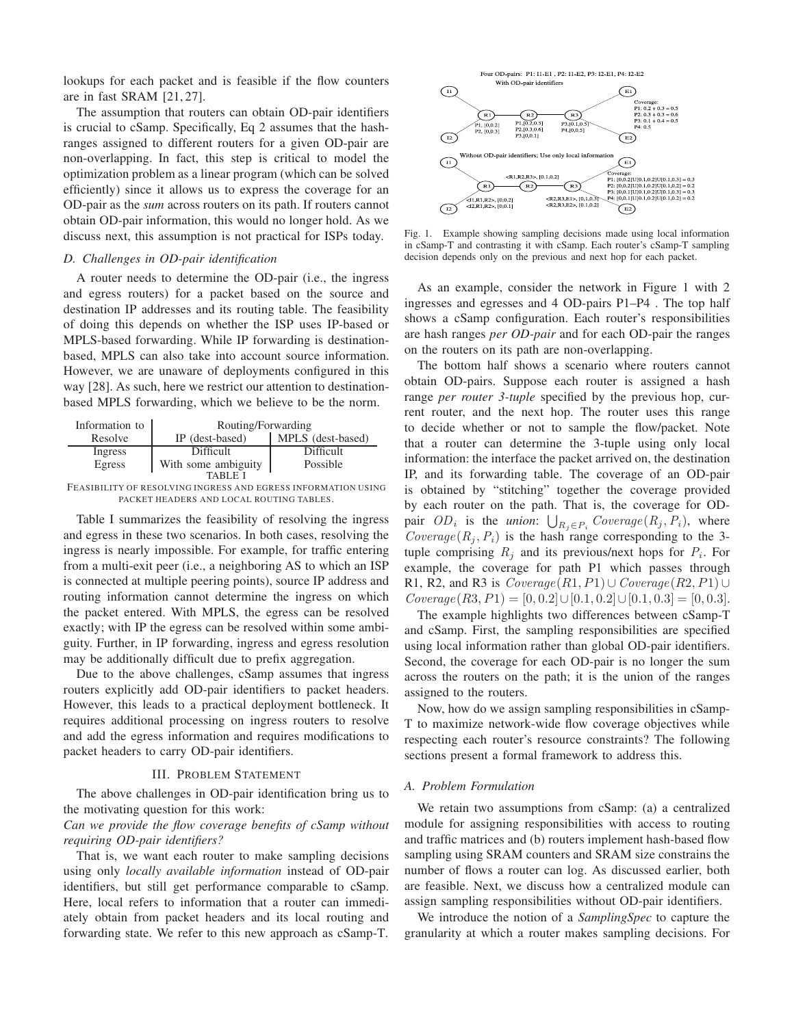lookups for each packet and is feasible if the flow counters are in fast SRAM [21, 27].

The assumption that routers can obtain OD-pair identifiers is crucial to cSamp. Specifically, Eq 2 assumes that the hashranges assigned to different routers for a given OD-pair are non-overlapping. In fact, this step is critical to model the optimization problem as a linear program (which can be solved efficiently) since it allows us to express the coverage for an OD-pair as the *sum* across routers on its path. If routers cannot obtain OD-pair information, this would no longer hold. As we discuss next, this assumption is not practical for ISPs today.

#### *D. Challenges in OD-pair identification*

A router needs to determine the OD-pair (i.e., the ingress and egress routers) for a packet based on the source and destination IP addresses and its routing table. The feasibility of doing this depends on whether the ISP uses IP-based or MPLS-based forwarding. While IP forwarding is destinationbased, MPLS can also take into account source information. However, we are unaware of deployments configured in this way [28]. As such, here we restrict our attention to destinationbased MPLS forwarding, which we believe to be the norm.

| Information to | Routing/Forwarding  |                   |  |
|----------------|---------------------|-------------------|--|
| Resolve        | IP (dest-based)     | MPLS (dest-based) |  |
| Ingress        | Difficult           | Difficult         |  |
| Egress         | With some ambiguity | Possible          |  |
| TARI F         |                     |                   |  |

FEASIBILITY OF RESOLVING INGRESS AND EGRESS INFORMATION USING PACKET HEADERS AND LOCAL ROUTING TABLES.

Table I summarizes the feasibility of resolving the ingress and egress in these two scenarios. In both cases, resolving the ingress is nearly impossible. For example, for traffic entering from a multi-exit peer (i.e., a neighboring AS to which an ISP is connected at multiple peering points), source IP address and routing information cannot determine the ingress on which the packet entered. With MPLS, the egress can be resolved exactly; with IP the egress can be resolved within some ambiguity. Further, in IP forwarding, ingress and egress resolution may be additionally difficult due to prefix aggregation.

Due to the above challenges, cSamp assumes that ingress routers explicitly add OD-pair identifiers to packet headers. However, this leads to a practical deployment bottleneck. It requires additional processing on ingress routers to resolve and add the egress information and requires modifications to packet headers to carry OD-pair identifiers.

#### III. PROBLEM STATEMENT

The above challenges in OD-pair identification bring us to the motivating question for this work:

# *Can we provide the flow coverage benefits of cSamp without requiring OD-pair identifiers?*

That is, we want each router to make sampling decisions using only *locally available information* instead of OD-pair identifiers, but still get performance comparable to cSamp. Here, local refers to information that a router can immediately obtain from packet headers and its local routing and forwarding state. We refer to this new approach as cSamp-T.



Fig. 1. Example showing sampling decisions made using local information in cSamp-T and contrasting it with cSamp. Each router's cSamp-T sampling decision depends only on the previous and next hop for each packet.

As an example, consider the network in Figure 1 with 2 ingresses and egresses and 4 OD-pairs P1–P4 . The top half shows a cSamp configuration. Each router's responsibilities are hash ranges *per OD-pair* and for each OD-pair the ranges on the routers on its path are non-overlapping.

The bottom half shows a scenario where routers cannot obtain OD-pairs. Suppose each router is assigned a hash range *per router 3-tuple* specified by the previous hop, current router, and the next hop. The router uses this range to decide whether or not to sample the flow/packet. Note that a router can determine the 3-tuple using only local information: the interface the packet arrived on, the destination IP, and its forwarding table. The coverage of an OD-pair is obtained by "stitching" together the coverage provided by each router on the path. That is, the coverage for ODpair  $OD_i$  is the *union*:  $\bigcup_{R_j \in P_i} Coverage(R_j, P_i)$ , where Coverage( $R_j, P_i$ ) is the hash range corresponding to the 3tuple comprising  $R_j$  and its previous/next hops for  $P_i$ . For example, the coverage for path P1 which passes through R1, R2, and R3 is  $Coverage(R1, P1) \cup Coverage(R2, P1) \cup$  $Coverage(R3, P1) = [0, 0.2] \cup [0.1, 0.2] \cup [0.1, 0.3] = [0, 0.3].$ 

The example highlights two differences between cSamp-T and cSamp. First, the sampling responsibilities are specified using local information rather than global OD-pair identifiers. Second, the coverage for each OD-pair is no longer the sum across the routers on the path; it is the union of the ranges assigned to the routers.

Now, how do we assign sampling responsibilities in cSamp-T to maximize network-wide flow coverage objectives while respecting each router's resource constraints? The following sections present a formal framework to address this.

#### *A. Problem Formulation*

We retain two assumptions from cSamp: (a) a centralized module for assigning responsibilities with access to routing and traffic matrices and (b) routers implement hash-based flow sampling using SRAM counters and SRAM size constrains the number of flows a router can log. As discussed earlier, both are feasible. Next, we discuss how a centralized module can assign sampling responsibilities without OD-pair identifiers.

We introduce the notion of a *SamplingSpec* to capture the granularity at which a router makes sampling decisions. For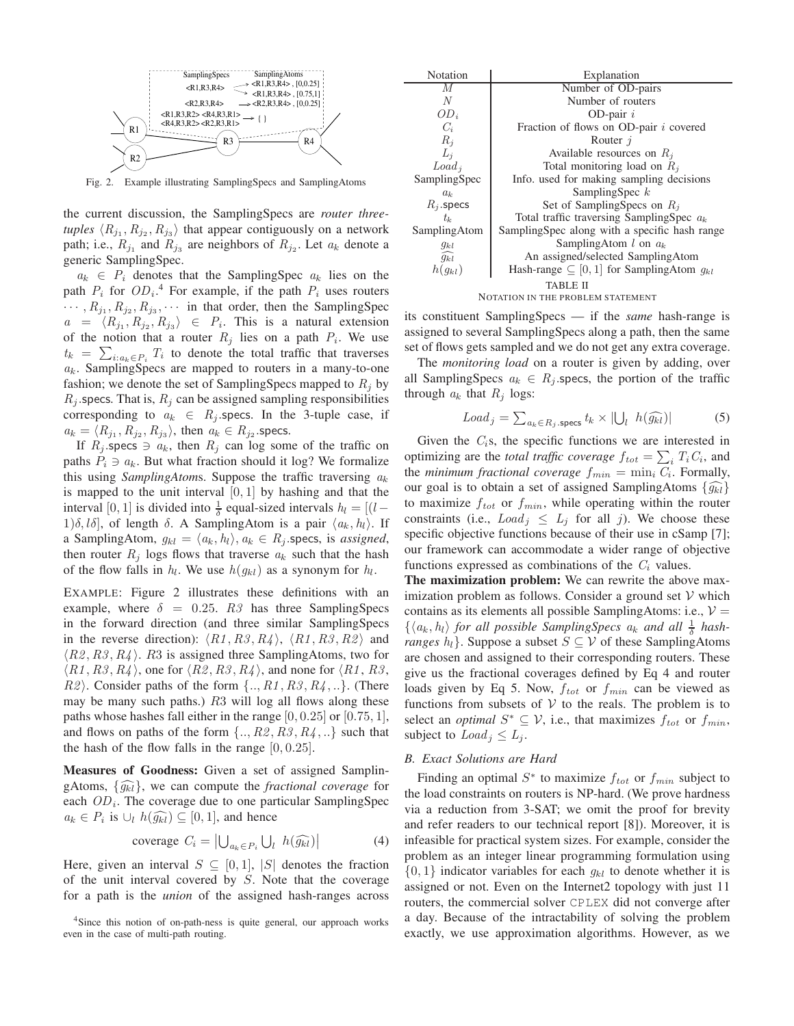

Fig. 2. Example illustrating SamplingSpecs and SamplingAtoms

the current discussion, the SamplingSpecs are *router threetuples*  $\langle R_{j_1}, R_{j_2}, R_{j_3} \rangle$  that appear contiguously on a network path; i.e.,  $R_{j_1}$  and  $R_{j_3}$  are neighbors of  $R_{j_2}$ . Let  $a_k$  denote a generic SamplingSpec.

 $a_k \in P_i$  denotes that the SamplingSpec  $a_k$  lies on the path  $P_i$  for  $OD_i$ <sup>4</sup>. For example, if the path  $P_i$  uses routers  $\cdots$ ,  $R_{j_1}, R_{j_2}, R_{j_3}, \cdots$  in that order, then the SamplingSpec  $a = \langle R_{j_1}, R_{j_2}, R_{j_3} \rangle \in P_i$ . This is a natural extension of the notion that a router  $R_j$  lies on a path  $P_i$ . We use  $t_k = \sum_{i:a_k \in P_i} T_i$  to denote the total traffic that traverses  $a_k$ . SamplingSpecs are mapped to routers in a many-to-one fashion; we denote the set of SamplingSpecs mapped to  $R_i$  by  $R_j$  specs. That is,  $R_j$  can be assigned sampling responsibilities corresponding to  $a_k \in R_j$  specs. In the 3-tuple case, if  $a_k = \langle R_{j_1}, R_{j_2}, R_{j_3} \rangle$ , then  $a_k \in R_{j_2}$  specs.

If  $R_j$  specs  $\ni a_k$ , then  $R_j$  can log some of the traffic on paths  $P_i \ni a_k$ . But what fraction should it log? We formalize this using *SamplingAtom*s. Suppose the traffic traversing a<sup>k</sup> is mapped to the unit interval  $[0, 1]$  by hashing and that the interval [0, 1] is divided into  $\frac{1}{\delta}$  equal-sized intervals  $h_l = [(l -$ 1)δ, lδ], of length δ. A SamplingAtom is a pair  $\langle a_k, h_l \rangle$ . If a SamplingAtom,  $g_{kl} = \langle a_k, h_l \rangle, a_k \in R_j$ . specs, is *assigned*, then router  $R_j$  logs flows that traverse  $a_k$  such that the hash of the flow falls in  $h_l$ . We use  $h(g_{kl})$  as a synonym for  $h_l$ .

EXAMPLE: Figure 2 illustrates these definitions with an example, where  $\delta = 0.25$ .  $R\beta$  has three SamplingSpecs in the forward direction (and three similar SamplingSpecs in the reverse direction):  $\langle R1, R3, R4 \rangle$ ,  $\langle R1, R3, R2 \rangle$  and  $\langle R2, R3, R4 \rangle$ . R3 is assigned three SamplingAtoms, two for  $\langle R1, R3, R4 \rangle$ , one for  $\langle R2, R3, R4 \rangle$ , and none for  $\langle R1, R3, R4 \rangle$  $R2$ ). Consider paths of the form  $\{.., R1, R3, R4, ...\}$ . (There may be many such paths.)  $R3$  will log all flows along these paths whose hashes fall either in the range  $[0, 0.25]$  or  $[0.75, 1]$ , and flows on paths of the form  $\{.., R2, R3, R4, ...\}$  such that the hash of the flow falls in the range  $[0, 0.25]$ .

Measures of Goodness: Given a set of assigned SamplingAtoms,  $\{\widehat{g_{kl}}\}$ , we can compute the *fractional coverage* for each  $OD<sub>i</sub>$ . The coverage due to one particular SamplingSpec  $a_k \in P_i$  is  $\cup_l h(\widehat{g_{kl}}) \subseteq [0,1]$ , and hence

$$
\text{coverage } C_i = \left| \bigcup_{a_k \in P_i} \bigcup_l h(\widehat{g_{kl}}) \right| \tag{4}
$$

Here, given an interval  $S \subseteq [0, 1]$ ,  $|S|$  denotes the fraction of the unit interval covered by  $S$ . Note that the coverage for a path is the *union* of the assigned hash-ranges across

| Notation                          | Explanation                                           |  |  |
|-----------------------------------|-------------------------------------------------------|--|--|
| М                                 | Number of OD-pairs                                    |  |  |
| N                                 | Number of routers                                     |  |  |
| $OD_i$                            | OD-pair $i$                                           |  |  |
| $C_i$                             | Fraction of flows on OD-pair <i>i</i> covered         |  |  |
| $R_i$                             | Router $i$                                            |  |  |
| $L_i$                             | Available resources on $R_i$                          |  |  |
| $Load_i$                          | Total monitoring load on $R_i$                        |  |  |
| SamplingSpec                      | Info. used for making sampling decisions              |  |  |
| $a_k$                             | SamplingSpec $k$                                      |  |  |
| $R_i$ .specs                      | Set of Sampling Specs on $R_i$                        |  |  |
| $t_k$                             | Total traffic traversing SamplingSpec $a_k$           |  |  |
| SamplingAtom                      | SamplingSpec along with a specific hash range         |  |  |
| $g_{kl}$                          | SamplingAtom $l$ on $a_k$                             |  |  |
| $\widehat{g_{kl}}$                | An assigned/selected SamplingAtom                     |  |  |
| $h(g_{kl})$                       | Hash-range $\subset [0, 1]$ for SamplingAtom $q_{kl}$ |  |  |
| TABLE II                          |                                                       |  |  |
| NOTATION IN THE PROBLEM STATEMENT |                                                       |  |  |

its constituent SamplingSpecs — if the *same* hash-range is assigned to several SamplingSpecs along a path, then the same set of flows gets sampled and we do not get any extra coverage.

The *monitoring load* on a router is given by adding, over all SamplingSpecs  $a_k \in R_i$  specs, the portion of the traffic through  $a_k$  that  $R_i$  logs:

$$
Load_j = \sum_{a_k \in R_j \text{, } \text{species}} t_k \times |\bigcup_l h(\widehat{g_{kl}})| \tag{5}
$$

Given the  $C_i$ s, the specific functions we are interested in optimizing are the *total traffic coverage*  $f_{tot} = \sum_i T_i C_i$ , and the *minimum fractional coverage*  $f_{min} = \min_i C_i$ . Formally, our goal is to obtain a set of assigned SamplingAtoms  $\{\widehat{g_{kl}}\}$ to maximize  $f_{tot}$  or  $f_{min}$ , while operating within the router constraints (i.e.,  $Load_j \leq L_j$  for all j). We choose these specific objective functions because of their use in cSamp [7]; our framework can accommodate a wider range of objective functions expressed as combinations of the  $C_i$  values.

The maximization problem: We can rewrite the above maximization problem as follows. Consider a ground set  $V$  which contains as its elements all possible SamplingAtoms: i.e.,  $V =$  $\{\langle a_k, h_l \rangle \text{ for all possible Sampling} \$  and all  $\frac{1}{\delta}$  hash*ranges*  $h_l$ . Suppose a subset  $S \subseteq V$  of these SamplingAtoms are chosen and assigned to their corresponding routers. These give us the fractional coverages defined by Eq 4 and router loads given by Eq 5. Now,  $f_{tot}$  or  $f_{min}$  can be viewed as functions from subsets of  $V$  to the reals. The problem is to select an *optimal*  $S^* \subseteq V$ , i.e., that maximizes  $f_{tot}$  or  $f_{min}$ , subject to  $Load_i \leq L_i$ .

#### *B. Exact Solutions are Hard*

Finding an optimal  $S^*$  to maximize  $f_{tot}$  or  $f_{min}$  subject to the load constraints on routers is NP-hard. (We prove hardness via a reduction from 3-SAT; we omit the proof for brevity and refer readers to our technical report [8]). Moreover, it is infeasible for practical system sizes. For example, consider the problem as an integer linear programming formulation using  $\{0, 1\}$  indicator variables for each  $q_{kl}$  to denote whether it is assigned or not. Even on the Internet2 topology with just 11 routers, the commercial solver CPLEX did not converge after a day. Because of the intractability of solving the problem exactly, we use approximation algorithms. However, as we

<sup>4</sup>Since this notion of on-path-ness is quite general, our approach works even in the case of multi-path routing.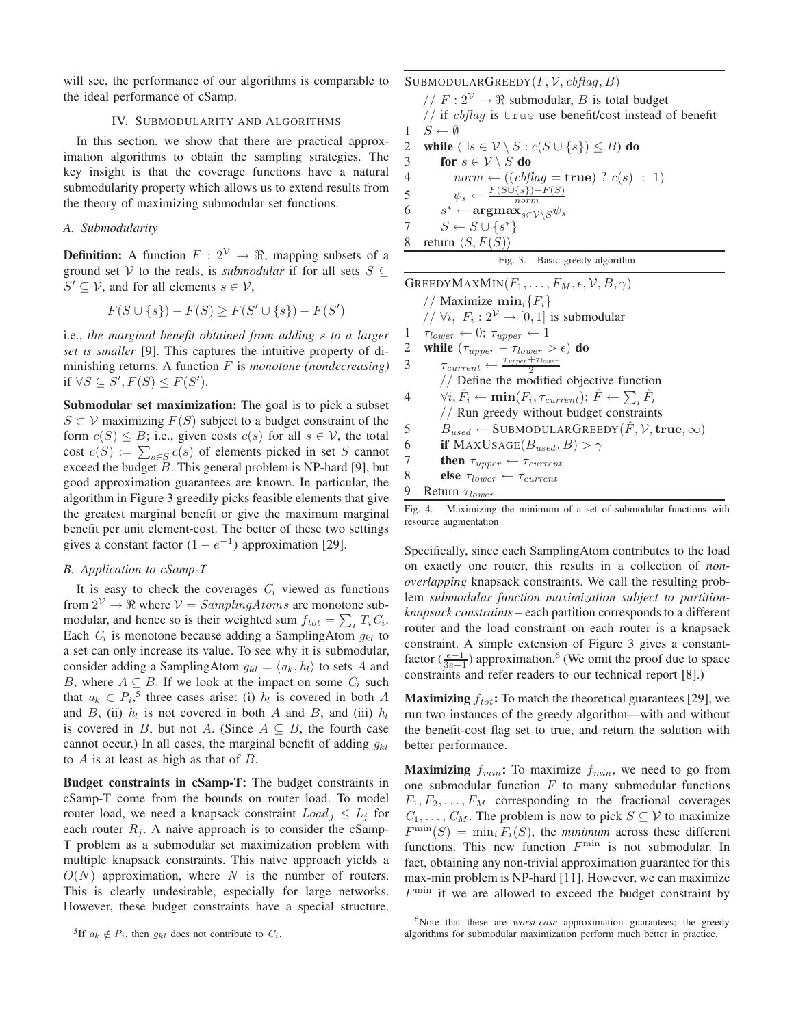will see, the performance of our algorithms is comparable to the ideal performance of cSamp.

# IV. SUBMODULARITY AND ALGORITHMS

In this section, we show that there are practical approximation algorithms to obtain the sampling strategies. The key insight is that the coverage functions have a natural submodularity property which allows us to extend results from the theory of maximizing submodular set functions.

# *A. Submodularity*

**Definition:** A function  $F: 2^{\mathcal{V}} \to \mathbb{R}$ , mapping subsets of a ground set V to the reals, is *submodular* if for all sets  $S \subseteq$  $S' \subseteq V$ , and for all elements  $s \in V$ ,

$$
F(S \cup \{s\}) - F(S) \ge F(S' \cup \{s\}) - F(S')
$$

i.e., *the marginal benefit obtained from adding* s *to a larger set is smaller* [9]. This captures the intuitive property of diminishing returns. A function F is *monotone (nondecreasing)* if  $\forall S \subseteq S', F(S) \leq F(S')$ .

Submodular set maximization: The goal is to pick a subset  $S \subset V$  maximizing  $F(S)$  subject to a budget constraint of the form  $c(S) \leq B$ ; i.e., given costs  $c(s)$  for all  $s \in V$ , the total cost  $c(S) := \sum_{s \in S} c(s)$  of elements picked in set S cannot exceed the budget  $B$ . This general problem is NP-hard [9], but good approximation guarantees are known. In particular, the algorithm in Figure 3 greedily picks feasible elements that give the greatest marginal benefit or give the maximum marginal benefit per unit element-cost. The better of these two settings gives a constant factor  $(1 - e^{-1})$  approximation [29].

# *B. Application to cSamp-T*

It is easy to check the coverages  $C_i$  viewed as functions from  $2^{\mathcal{V}} \to \Re$  where  $\mathcal{V} = SamplingAtoms$  are monotone submodular, and hence so is their weighted sum  $f_{tot} = \sum_i T_i C_i$ . Each  $C_i$  is monotone because adding a SamplingAtom  $g_{kl}$  to a set can only increase its value. To see why it is submodular, consider adding a SamplingAtom  $g_{kl} = \langle a_k, h_l \rangle$  to sets A and B, where  $A \subseteq B$ . If we look at the impact on some  $C_i$  such that  $a_k \in P_i$ ,<sup>5</sup> three cases arise: (i)  $h_l$  is covered in both A and B, (ii)  $h_l$  is not covered in both A and B, and (iii)  $h_l$ is covered in B, but not A. (Since  $A \subseteq B$ , the fourth case cannot occur.) In all cases, the marginal benefit of adding  $q_{kl}$ to  $A$  is at least as high as that of  $B$ .

Budget constraints in cSamp-T: The budget constraints in cSamp-T come from the bounds on router load. To model router load, we need a knapsack constraint  $Load_j \leq L_j$  for each router  $R_i$ . A naive approach is to consider the cSamp-T problem as a submodular set maximization problem with multiple knapsack constraints. This naive approach yields a  $O(N)$  approximation, where N is the number of routers. This is clearly undesirable, especially for large networks. However, these budget constraints have a special structure. SUBMODULARGREEDY $(F, \mathcal{V}, \text{cbflag}, B)$ //  $F: 2^{\mathcal{V}} \to \mathbb{R}$  submodular, B is total budget // if  $cbflag$  is true use benefit/cost instead of benefit  $1 \quad S \leftarrow \emptyset$ 2 while  $(\exists s \in V \setminus S : c(S \cup \{s\}) \leq B)$  do 3 for  $s \in \mathcal{V} \setminus S$  do 4  $norm \leftarrow ((cbflag = true) ? c(s) : 1)$ 5  $\psi_s \leftarrow \frac{F(S \cup \{s\}) - F(S)}{norm}$  $6 \qquad s^* \leftarrow \mathop{\mathrm{argmax}}_{s \in \mathcal{V} \setminus S} \psi_s$ 7  $S \leftarrow S \cup \{s^*\}$ 8 return  $\langle S, F(S) \rangle$ Fig. 3. Basic greedy algorithm  $G$ REEDYMAXMIN $(F_1, \ldots, F_M, \epsilon, \mathcal{V}, B, \gamma)$ 

// Maximize  $\min_i \{F_i\}$ //  $\forall i, F_i : 2^{\mathcal{V}} \rightarrow [0, 1]$  is submodular 1  $\tau_{lower} \leftarrow 0; \tau_{upper} \leftarrow 1$ 2 while  $(\tau_{upper} - \tau_{lower} > \epsilon)$  do 3  $\tau_{current} \leftarrow \frac{\tau_{upper} + \tau_{lower}}{2}$ 2 // Define the modified objective function 4  $\forall i, \hat{F_i} \leftarrow \min(F_i, \tau_{current}); \ \hat{F} \leftarrow \sum_i \hat{F_i}$ // Run greedy without budget constraints 5  $B_{used} \leftarrow \text{SUBMODULARGREEDY}(\hat{F}, \mathcal{V}, \text{true}, \infty)$ 6 if MAXUSAGE $(B_{used}, B) > \gamma$ 7 **then**  $\tau_{upper} \leftarrow \tau_{current}$ 8 **else**  $\tau_{lower} \leftarrow \tau_{current}$ 

9 Return  $\tau_{lower}$ 

Fig. 4. Maximizing the minimum of a set of submodular functions with resource augmentation

Specifically, since each SamplingAtom contributes to the load on exactly one router, this results in a collection of *nonoverlapping* knapsack constraints. We call the resulting problem *submodular function maximization subject to partitionknapsack constraints* – each partition corresponds to a different router and the load constraint on each router is a knapsack constraint. A simple extension of Figure 3 gives a constantfactor  $(\frac{e-1}{3e-1})$  approximation.<sup>6</sup> (We omit the proof due to space constraints and refer readers to our technical report [8].)

**Maximizing**  $f_{tot}$ : To match the theoretical guarantees [29], we run two instances of the greedy algorithm—with and without the benefit-cost flag set to true, and return the solution with better performance.

**Maximizing**  $f_{min}$ : To maximize  $f_{min}$ , we need to go from one submodular function  $F$  to many submodular functions  $F_1, F_2, \ldots, F_M$  corresponding to the fractional coverages  $C_1, \ldots, C_M$ . The problem is now to pick  $S \subseteq V$  to maximize  $F^{\min}(S) = \min_i F_i(S)$ , the *minimum* across these different functions. This new function  $F^{\min}$  is not submodular. In fact, obtaining any non-trivial approximation guarantee for this max-min problem is NP-hard [11]. However, we can maximize  $F^{\min}$  if we are allowed to exceed the budget constraint by

<sup>&</sup>lt;sup>5</sup>If  $a_k \notin P_i$ , then  $g_{kl}$  does not contribute to  $C_i$ .

<sup>&</sup>lt;sup>6</sup>Note that these are *worst-case* approximation guarantees; the greedy algorithms for submodular maximization perform much better in practice.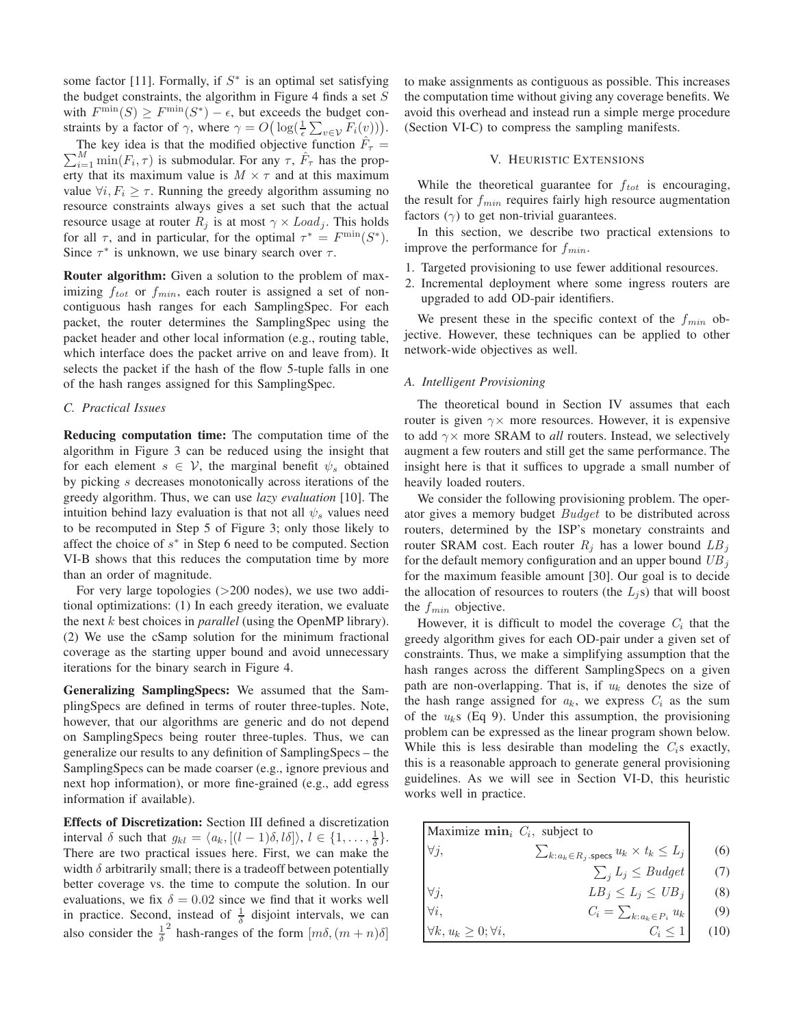some factor [11]. Formally, if  $S^*$  is an optimal set satisfying the budget constraints, the algorithm in Figure 4 finds a set  $S$ with  $F^{\min}(S) \geq F^{\min}(S^*) - \epsilon$ , but exceeds the budget constraints by a factor of  $\gamma$ , where  $\gamma = O\left(\log_{\epsilon}\left(\frac{1}{\epsilon}\sum_{v \in \mathcal{V}}F_i(v)\right)\right)$ .

The key idea is that the modified objective function  $\hat{F}_{\tau} = \sum_{i=1}^{M} \min(F_i, \tau)$  is submodular. For any  $\tau$ ,  $\hat{F}_{\tau}$  has the property that its maximum value is  $M \times \tau$  and at this maximum value  $\forall i, F_i \geq \tau$ . Running the greedy algorithm assuming no resource constraints always gives a set such that the actual resource usage at router  $R_i$  is at most  $\gamma \times Load_i$ . This holds for all  $\tau$ , and in particular, for the optimal  $\tau^* = F^{\min}(S^*)$ . Since  $\tau^*$  is unknown, we use binary search over  $\tau$ .

Router algorithm: Given a solution to the problem of maximizing  $f_{tot}$  or  $f_{min}$ , each router is assigned a set of noncontiguous hash ranges for each SamplingSpec. For each packet, the router determines the SamplingSpec using the packet header and other local information (e.g., routing table, which interface does the packet arrive on and leave from). It selects the packet if the hash of the flow 5-tuple falls in one of the hash ranges assigned for this SamplingSpec.

# *C. Practical Issues*

Reducing computation time: The computation time of the algorithm in Figure 3 can be reduced using the insight that for each element  $s \in V$ , the marginal benefit  $\psi_s$  obtained by picking s decreases monotonically across iterations of the greedy algorithm. Thus, we can use *lazy evaluation* [10]. The intuition behind lazy evaluation is that not all  $\psi_s$  values need to be recomputed in Step 5 of Figure 3; only those likely to affect the choice of  $s^*$  in Step 6 need to be computed. Section VI-B shows that this reduces the computation time by more than an order of magnitude.

For very large topologies  $(>200$  nodes), we use two additional optimizations: (1) In each greedy iteration, we evaluate the next k best choices in *parallel* (using the OpenMP library). (2) We use the cSamp solution for the minimum fractional coverage as the starting upper bound and avoid unnecessary iterations for the binary search in Figure 4.

Generalizing SamplingSpecs: We assumed that the SamplingSpecs are defined in terms of router three-tuples. Note, however, that our algorithms are generic and do not depend on SamplingSpecs being router three-tuples. Thus, we can generalize our results to any definition of SamplingSpecs – the SamplingSpecs can be made coarser (e.g., ignore previous and next hop information), or more fine-grained (e.g., add egress information if available).

Effects of Discretization: Section III defined a discretization interval  $\delta$  such that  $g_{kl} = \langle a_k, [(l-1)\delta, l\delta] \rangle, l \in \{1, ..., \frac{1}{\delta}\}.$ There are two practical issues here. First, we can make the width  $\delta$  arbitrarily small; there is a tradeoff between potentially better coverage vs. the time to compute the solution. In our evaluations, we fix  $\delta = 0.02$  since we find that it works well in practice. Second, instead of  $\frac{1}{\delta}$  disjoint intervals, we can also consider the  $\frac{1}{\delta}^2$  hash-ranges <sup>2</sup> hash-ranges of the form  $[m\delta, (m+n)\delta]$  to make assignments as contiguous as possible. This increases the computation time without giving any coverage benefits. We avoid this overhead and instead run a simple merge procedure (Section VI-C) to compress the sampling manifests.

## V. HEURISTIC EXTENSIONS

While the theoretical guarantee for  $f_{tot}$  is encouraging, the result for  $f_{min}$  requires fairly high resource augmentation factors  $(\gamma)$  to get non-trivial guarantees.

In this section, we describe two practical extensions to improve the performance for  $f_{min}$ .

- 1. Targeted provisioning to use fewer additional resources.
- 2. Incremental deployment where some ingress routers are upgraded to add OD-pair identifiers.

We present these in the specific context of the  $f_{min}$  objective. However, these techniques can be applied to other network-wide objectives as well.

## *A. Intelligent Provisioning*

The theoretical bound in Section IV assumes that each router is given  $\gamma \times$  more resources. However, it is expensive to add γ× more SRAM to *all* routers. Instead, we selectively augment a few routers and still get the same performance. The insight here is that it suffices to upgrade a small number of heavily loaded routers.

We consider the following provisioning problem. The operator gives a memory budget Budget to be distributed across routers, determined by the ISP's monetary constraints and router SRAM cost. Each router  $R_i$  has a lower bound  $LB_i$ for the default memory configuration and an upper bound  $UB_j$ for the maximum feasible amount [30]. Our goal is to decide the allocation of resources to routers (the  $L_j$ s) that will boost the  $f_{min}$  objective.

However, it is difficult to model the coverage  $C_i$  that the greedy algorithm gives for each OD-pair under a given set of constraints. Thus, we make a simplifying assumption that the hash ranges across the different SamplingSpecs on a given path are non-overlapping. That is, if  $u_k$  denotes the size of the hash range assigned for  $a_k$ , we express  $C_i$  as the sum of the  $u_k$ s (Eq 9). Under this assumption, the provisioning problem can be expressed as the linear program shown below. While this is less desirable than modeling the  $C_i$ s exactly, this is a reasonable approach to generate general provisioning guidelines. As we will see in Section VI-D, this heuristic works well in practice.

|                                     | Maximize $\min_i C_i$ , subject to                             |              |
|-------------------------------------|----------------------------------------------------------------|--------------|
| $\forall j,$                        | $\sum_{k:a_k \in R_j \text{ .spaces}} u_k \times t_k \leq L_j$ | <sup>6</sup> |
|                                     | $\sum_i L_j \leq Budget$                                       |              |
| $\forall j,$                        | $LB_j \leq L_j \leq UB_j$                                      | (8)          |
| $\forall i.$                        | $C_i = \sum_{k: a_k \in P_i} u_k$                              |              |
| $\forall k, u_k \geq 0; \forall i,$ |                                                                |              |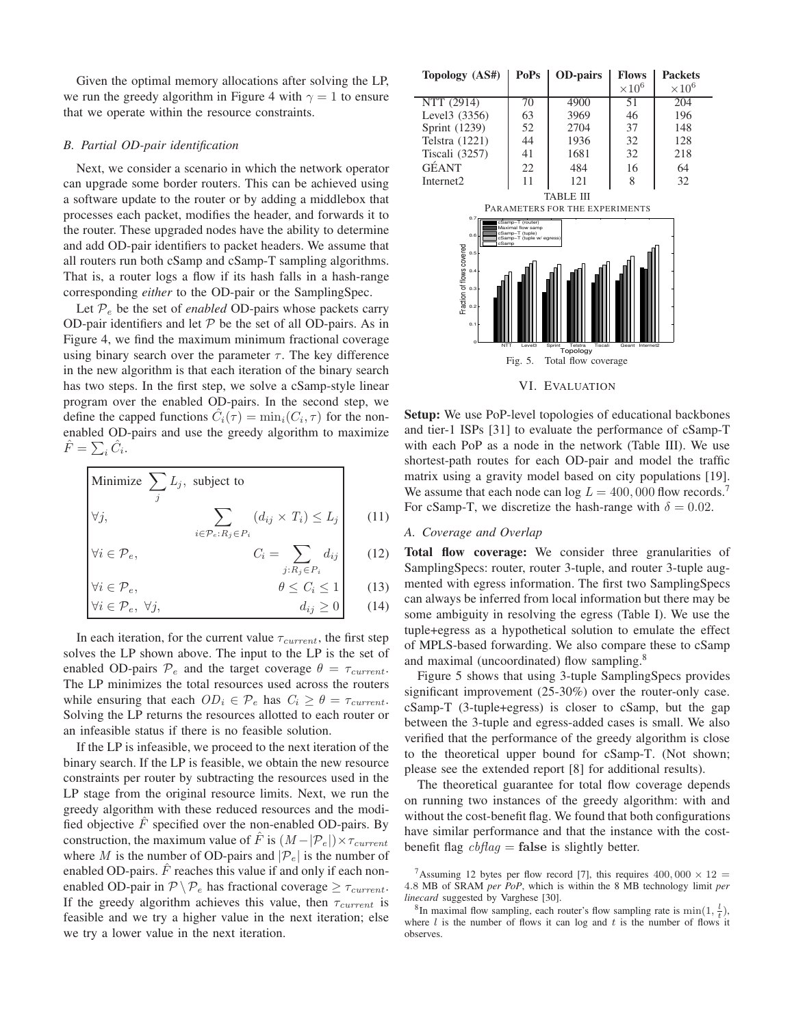Given the optimal memory allocations after solving the LP, we run the greedy algorithm in Figure 4 with  $\gamma = 1$  to ensure that we operate within the resource constraints.

#### *B. Partial OD-pair identification*

Next, we consider a scenario in which the network operator can upgrade some border routers. This can be achieved using a software update to the router or by adding a middlebox that processes each packet, modifies the header, and forwards it to the router. These upgraded nodes have the ability to determine and add OD-pair identifiers to packet headers. We assume that all routers run both cSamp and cSamp-T sampling algorithms. That is, a router logs a flow if its hash falls in a hash-range corresponding *either* to the OD-pair or the SamplingSpec.

Let  $P_e$  be the set of *enabled* OD-pairs whose packets carry OD-pair identifiers and let  $P$  be the set of all OD-pairs. As in Figure 4, we find the maximum minimum fractional coverage using binary search over the parameter  $\tau$ . The key difference in the new algorithm is that each iteration of the binary search has two steps. In the first step, we solve a cSamp-style linear program over the enabled OD-pairs. In the second step, we define the capped functions  $\hat{C}_i(\tau) = \min_i (C_i, \tau)$  for the nonenabled OD-pairs and use the greedy algorithm to maximize  $\hat{F} = \sum_i \hat{C}_i.$ 

Minimize 
$$
\sum_{j} L_j
$$
, subject to  
\n $\forall j$ ,  $\sum_{i \in \mathcal{P}_i : R_i \in P_i} (d_{ij} \times T_i) \le L_j$  (11)

$$
\forall i \in \mathcal{P}_e, \qquad \qquad C_i = \sum_{j: R_j \in \mathcal{P}_i} d_{ij} \qquad (12)
$$

$$
\forall i \in \mathcal{P}_e, \n\forall i \in \mathcal{P}_e, \forall j, \qquad \theta \le C_i \le 1 \qquad (13) \nd_{ij} \ge 0 \qquad (14)
$$

In each iteration, for the current value  $\tau_{current}$ , the first step solves the LP shown above. The input to the LP is the set of enabled OD-pairs  $P_e$  and the target coverage  $\theta = \tau_{current}$ . The LP minimizes the total resources used across the routers while ensuring that each  $OD_i \in \mathcal{P}_e$  has  $C_i \geq \theta = \tau_{current}$ . Solving the LP returns the resources allotted to each router or an infeasible status if there is no feasible solution.

If the LP is infeasible, we proceed to the next iteration of the binary search. If the LP is feasible, we obtain the new resource constraints per router by subtracting the resources used in the LP stage from the original resource limits. Next, we run the greedy algorithm with these reduced resources and the modified objective  $\hat{F}$  specified over the non-enabled OD-pairs. By construction, the maximum value of F is  $(M - |\mathcal{P}_e|) \times \tau_{current}$ where M is the number of OD-pairs and  $|\mathcal{P}_e|$  is the number of enabled OD-pairs.  $\ddot{F}$  reaches this value if and only if each nonenabled OD-pair in  $\mathcal{P} \backslash \mathcal{P}_e$  has fractional coverage  $\geq \tau_{current}$ . If the greedy algorithm achieves this value, then  $\tau_{current}$  is feasible and we try a higher value in the next iteration; else we try a lower value in the next iteration.



Setup: We use PoP-level topologies of educational backbones and tier-1 ISPs [31] to evaluate the performance of cSamp-T with each PoP as a node in the network (Table III). We use shortest-path routes for each OD-pair and model the traffic matrix using a gravity model based on city populations [19]. We assume that each node can log  $L = 400,000$  flow records.<sup>7</sup> For cSamp-T, we discretize the hash-range with  $\delta = 0.02$ .

## *A. Coverage and Overlap*

Total flow coverage: We consider three granularities of SamplingSpecs: router, router 3-tuple, and router 3-tuple augmented with egress information. The first two SamplingSpecs can always be inferred from local information but there may be some ambiguity in resolving the egress (Table I). We use the tuple+egress as a hypothetical solution to emulate the effect of MPLS-based forwarding. We also compare these to cSamp and maximal (uncoordinated) flow sampling.<sup>8</sup>

Figure 5 shows that using 3-tuple SamplingSpecs provides significant improvement (25-30%) over the router-only case. cSamp-T (3-tuple+egress) is closer to cSamp, but the gap between the 3-tuple and egress-added cases is small. We also verified that the performance of the greedy algorithm is close to the theoretical upper bound for cSamp-T. (Not shown; please see the extended report [8] for additional results).

The theoretical guarantee for total flow coverage depends on running two instances of the greedy algorithm: with and without the cost-benefit flag. We found that both configurations have similar performance and that the instance with the costbenefit flag  $cbflag =$  false is slightly better.

<sup>&</sup>lt;sup>7</sup>Assuming 12 bytes per flow record [7], this requires  $400,000 \times 12 =$ 4.8 MB of SRAM *per PoP*, which is within the 8 MB technology limit *per linecard* suggested by Varghese [30].

<sup>&</sup>lt;sup>8</sup>In maximal flow sampling, each router's flow sampling rate is  $\min(1, \frac{l}{t})$ , where  $l$  is the number of flows it can log and  $t$  is the number of flows it observes.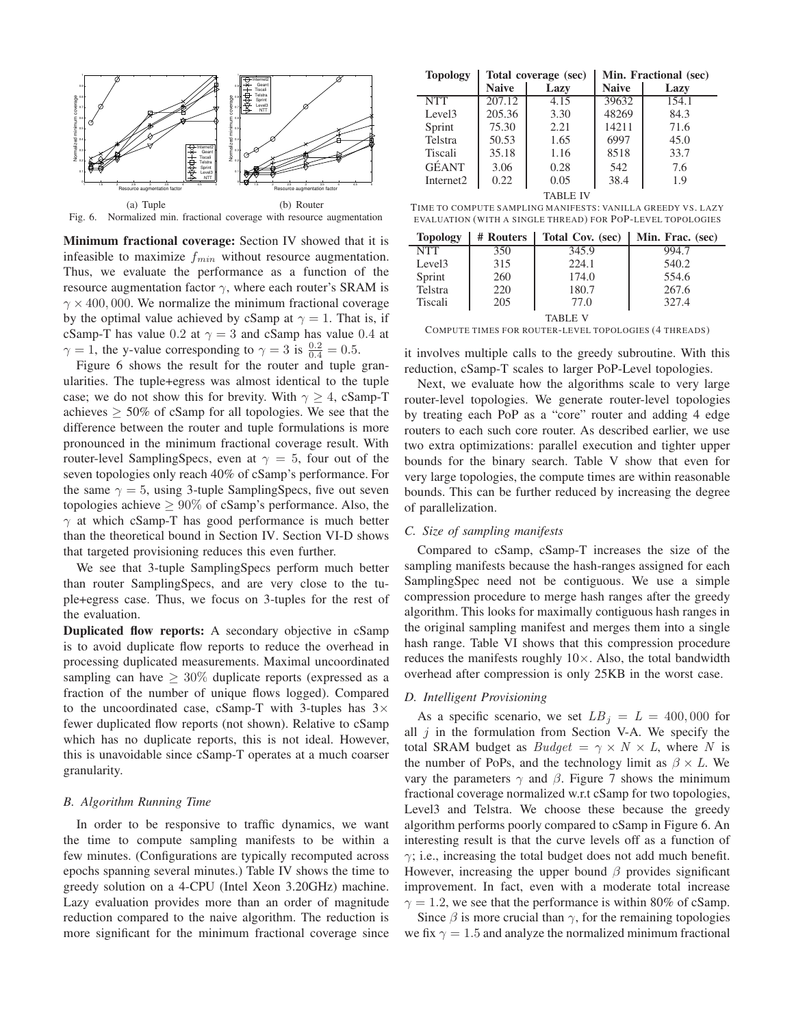

Fig. 6. Normalized min. fractional coverage with resource augmentation

Minimum fractional coverage: Section IV showed that it is infeasible to maximize  $f_{min}$  without resource augmentation. Thus, we evaluate the performance as a function of the resource augmentation factor  $\gamma$ , where each router's SRAM is  $\gamma \times 400,000$ . We normalize the minimum fractional coverage by the optimal value achieved by cSamp at  $\gamma = 1$ . That is, if cSamp-T has value 0.2 at  $\gamma = 3$  and cSamp has value 0.4 at  $\gamma = 1$ , the y-value corresponding to  $\gamma = 3$  is  $\frac{0.2}{0.4} = 0.5$ .

Figure 6 shows the result for the router and tuple granularities. The tuple+egress was almost identical to the tuple case; we do not show this for brevity. With  $\gamma \geq 4$ , cSamp-T achieves  $\geq 50\%$  of cSamp for all topologies. We see that the difference between the router and tuple formulations is more pronounced in the minimum fractional coverage result. With router-level SamplingSpecs, even at  $\gamma = 5$ , four out of the seven topologies only reach 40% of cSamp's performance. For the same  $\gamma = 5$ , using 3-tuple SamplingSpecs, five out seven topologies achieve  $\geq 90\%$  of cSamp's performance. Also, the  $\gamma$  at which cSamp-T has good performance is much better than the theoretical bound in Section IV. Section VI-D shows that targeted provisioning reduces this even further.

We see that 3-tuple SamplingSpecs perform much better than router SamplingSpecs, and are very close to the tuple+egress case. Thus, we focus on 3-tuples for the rest of the evaluation.

Duplicated flow reports: A secondary objective in cSamp is to avoid duplicate flow reports to reduce the overhead in processing duplicated measurements. Maximal uncoordinated sampling can have  $\geq 30\%$  duplicate reports (expressed as a fraction of the number of unique flows logged). Compared to the uncoordinated case, cSamp-T with 3-tuples has  $3\times$ fewer duplicated flow reports (not shown). Relative to cSamp which has no duplicate reports, this is not ideal. However, this is unavoidable since cSamp-T operates at a much coarser granularity.

#### *B. Algorithm Running Time*

In order to be responsive to traffic dynamics, we want the time to compute sampling manifests to be within a few minutes. (Configurations are typically recomputed across epochs spanning several minutes.) Table IV shows the time to greedy solution on a 4-CPU (Intel Xeon 3.20GHz) machine. Lazy evaluation provides more than an order of magnitude reduction compared to the naive algorithm. The reduction is more significant for the minimum fractional coverage since

| <b>Topology</b>       | Total coverage (sec) |      | Min. Fractional (sec) |       |
|-----------------------|----------------------|------|-----------------------|-------|
|                       | <b>Naive</b>         | Lazy | <b>Naive</b>          | Lazy  |
| <b>NTT</b>            | 207.12               | 4.15 | 39632                 | 154.1 |
| Level <sub>3</sub>    | 205.36               | 3.30 | 48269                 | 84.3  |
| Sprint                | 75.30                | 2.21 | 14211                 | 71.6  |
| Telstra               | 50.53                | 1.65 | 6997                  | 45.0  |
| Tiscali               | 35.18                | 1.16 | 8518                  | 33.7  |
| <b>GÉANT</b>          | 3.06                 | 0.28 | 542                   | 7.6   |
| Internet <sub>2</sub> | 0.22                 | 0.05 | 38.4                  | 1.9   |
| TABLE IV              |                      |      |                       |       |

TIME TO COMPUTE SAMPLING MANIFESTS: VANILLA GREEDY VS. LAZY EVALUATION (WITH A SINGLE THREAD) FOR POP-LEVEL TOPOLOGIES

| <b>Topology</b>    | # Routers | Total Cov. (sec) | Min. Frac. (sec) |
|--------------------|-----------|------------------|------------------|
| <b>NTT</b>         | 350       | 345.9            | 994.7            |
| Level <sub>3</sub> | 315       | 224.1            | 540.2            |
| Sprint             | 260       | 174.0            | 554.6            |
| Telstra            | 220       | 180.7            | 267.6            |
| Tiscali            | 205       | 77.0             | 327.4            |
| <b>TABLE V</b>     |           |                  |                  |

COMPUTE TIMES FOR ROUTER-LEVEL TOPOLOGIES (4 THREADS)

it involves multiple calls to the greedy subroutine. With this reduction, cSamp-T scales to larger PoP-Level topologies.

Next, we evaluate how the algorithms scale to very large router-level topologies. We generate router-level topologies by treating each PoP as a "core" router and adding 4 edge routers to each such core router. As described earlier, we use two extra optimizations: parallel execution and tighter upper bounds for the binary search. Table V show that even for very large topologies, the compute times are within reasonable bounds. This can be further reduced by increasing the degree of parallelization.

# *C. Size of sampling manifests*

Compared to cSamp, cSamp-T increases the size of the sampling manifests because the hash-ranges assigned for each SamplingSpec need not be contiguous. We use a simple compression procedure to merge hash ranges after the greedy algorithm. This looks for maximally contiguous hash ranges in the original sampling manifest and merges them into a single hash range. Table VI shows that this compression procedure reduces the manifests roughly  $10\times$ . Also, the total bandwidth overhead after compression is only 25KB in the worst case.

# *D. Intelligent Provisioning*

As a specific scenario, we set  $LB_j = L = 400,000$  for all  $j$  in the formulation from Section V-A. We specify the total SRAM budget as  $Budget = \gamma \times N \times L$ , where N is the number of PoPs, and the technology limit as  $\beta \times L$ . We vary the parameters  $\gamma$  and  $\beta$ . Figure 7 shows the minimum fractional coverage normalized w.r.t cSamp for two topologies, Level3 and Telstra. We choose these because the greedy algorithm performs poorly compared to cSamp in Figure 6. An interesting result is that the curve levels off as a function of  $\gamma$ ; i.e., increasing the total budget does not add much benefit. However, increasing the upper bound  $\beta$  provides significant improvement. In fact, even with a moderate total increase  $\gamma = 1.2$ , we see that the performance is within 80% of cSamp. Since  $\beta$  is more crucial than  $\gamma$ , for the remaining topologies

we fix  $\gamma = 1.5$  and analyze the normalized minimum fractional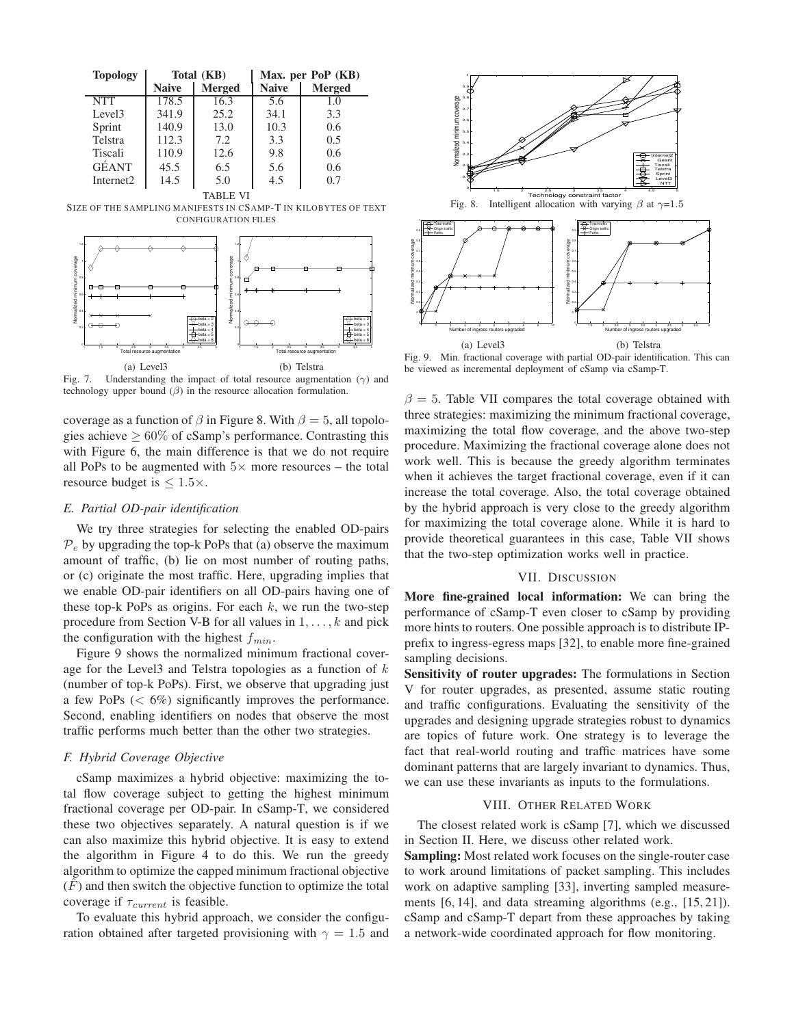| <b>Topology</b>       | Total (KB)   |               | Max. per PoP (KB) |               |
|-----------------------|--------------|---------------|-------------------|---------------|
|                       | <b>Naive</b> | <b>Merged</b> | <b>Naive</b>      | <b>Merged</b> |
| <b>NTT</b>            | 178.5        | 16.3          | 5.6               | 1.0           |
| Level <sub>3</sub>    | 341.9        | 25.2          | 34.1              | 3.3           |
| Sprint                | 140.9        | 13.0          | 10.3              | 0.6           |
| Telstra               | 112.3        | 7.2           | 3.3               | 0.5           |
| Tiscali               | 110.9        | 12.6          | 9.8               | 0.6           |
| <b>GEANT</b>          | 45.5         | 6.5           | 5.6               | 0.6           |
| Internet <sub>2</sub> | 14.5         | 5.0           | 4.5               | 0.7           |

TABLE VI SIZE OF THE SAMPLING MANIFESTS IN CSAMP-T IN KILOBYTES OF TEXT CONFIGURATION FILES



Fig. 7. Understanding the impact of total resource augmentation  $(\gamma)$  and technology upper bound  $(\beta)$  in the resource allocation formulation.

coverage as a function of  $\beta$  in Figure 8. With  $\beta = 5$ , all topologies achieve  $\geq 60\%$  of cSamp's performance. Contrasting this with Figure 6, the main difference is that we do not require all PoPs to be augmented with  $5\times$  more resources – the total resource budget is  $\leq 1.5 \times$ .

#### *E. Partial OD-pair identification*

We try three strategies for selecting the enabled OD-pairs  $P_e$  by upgrading the top-k PoPs that (a) observe the maximum amount of traffic, (b) lie on most number of routing paths, or (c) originate the most traffic. Here, upgrading implies that we enable OD-pair identifiers on all OD-pairs having one of these top-k PoPs as origins. For each  $k$ , we run the two-step procedure from Section V-B for all values in  $1, \ldots, k$  and pick the configuration with the highest  $f_{min}$ .

Figure 9 shows the normalized minimum fractional coverage for the Level3 and Telstra topologies as a function of  $k$ (number of top-k PoPs). First, we observe that upgrading just a few PoPs  $(< 6\%)$  significantly improves the performance. Second, enabling identifiers on nodes that observe the most traffic performs much better than the other two strategies.

# *F. Hybrid Coverage Objective*

cSamp maximizes a hybrid objective: maximizing the total flow coverage subject to getting the highest minimum fractional coverage per OD-pair. In cSamp-T, we considered these two objectives separately. A natural question is if we can also maximize this hybrid objective. It is easy to extend the algorithm in Figure 4 to do this. We run the greedy algorithm to optimize the capped minimum fractional objective  $(F)$  and then switch the objective function to optimize the total coverage if  $\tau_{current}$  is feasible.

To evaluate this hybrid approach, we consider the configuration obtained after targeted provisioning with  $\gamma = 1.5$  and



Fig. 9. Min. fractional coverage with partial OD-pair identification. This can be viewed as incremental deployment of cSamp via cSamp-T.

 $\beta = 5$ . Table VII compares the total coverage obtained with three strategies: maximizing the minimum fractional coverage, maximizing the total flow coverage, and the above two-step procedure. Maximizing the fractional coverage alone does not work well. This is because the greedy algorithm terminates when it achieves the target fractional coverage, even if it can increase the total coverage. Also, the total coverage obtained by the hybrid approach is very close to the greedy algorithm for maximizing the total coverage alone. While it is hard to provide theoretical guarantees in this case, Table VII shows that the two-step optimization works well in practice.

## VII. DISCUSSION

More fine-grained local information: We can bring the performance of cSamp-T even closer to cSamp by providing more hints to routers. One possible approach is to distribute IPprefix to ingress-egress maps [32], to enable more fine-grained sampling decisions.

Sensitivity of router upgrades: The formulations in Section V for router upgrades, as presented, assume static routing and traffic configurations. Evaluating the sensitivity of the upgrades and designing upgrade strategies robust to dynamics are topics of future work. One strategy is to leverage the fact that real-world routing and traffic matrices have some dominant patterns that are largely invariant to dynamics. Thus, we can use these invariants as inputs to the formulations.

# VIII. OTHER RELATED WORK

The closest related work is cSamp [7], which we discussed in Section II. Here, we discuss other related work.

Sampling: Most related work focuses on the single-router case to work around limitations of packet sampling. This includes work on adaptive sampling [33], inverting sampled measurements [6, 14], and data streaming algorithms (e.g., [15, 21]). cSamp and cSamp-T depart from these approaches by taking a network-wide coordinated approach for flow monitoring.